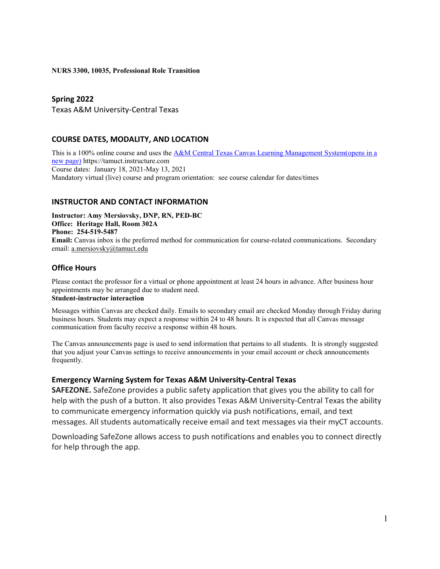#### **NURS 3300, 10035, Professional Role Transition**

### **Spring 2022**

Texas A&M University-Central Texas

### **COURSE DATES, MODALITY, AND LOCATION**

This is a 100% online course and uses the [A&M Central Texas Canvas Learning Management System\(opens in a](https://tamuct.instructure.com/)  [new page\)](https://tamuct.instructure.com/) https://tamuct.instructure.com Course dates: January 18, 2021-May 13, 2021 Mandatory virtual (live) course and program orientation: see course calendar for dates/times

### **INSTRUCTOR AND CONTACT INFORMATION**

**Instructor: Amy Mersiovsky, DNP, RN, PED-BC Office: Heritage Hall, Room 302A Phone: 254-519-5487 Email:** Canvas inbox is the preferred method for communication for course-related communications. Secondary email: [a.mersiovsky@tamuct.edu](mailto:a.mersiovsky@tamuct.edu)

### **Office Hours**

Please contact the professor for a virtual or phone appointment at least 24 hours in advance. After business hour appointments may be arranged due to student need.

### **Student-instructor interaction**

Messages within Canvas are checked daily. Emails to secondary email are checked Monday through Friday during business hours. Students may expect a response within 24 to 48 hours. It is expected that all Canvas message communication from faculty receive a response within 48 hours.

The Canvas announcements page is used to send information that pertains to all students. It is strongly suggested that you adjust your Canvas settings to receive announcements in your email account or check announcements frequently.

### **Emergency Warning System for Texas A&M University-Central Texas**

**SAFEZONE.** SafeZone provides a public safety application that gives you the ability to call for help with the push of a button. It also provides Texas A&M University-Central Texas the ability to communicate emergency information quickly via push notifications, email, and text messages. All students automatically receive email and text messages via their myCT accounts.

Downloading SafeZone allows access to push notifications and enables you to connect directly for help through the app.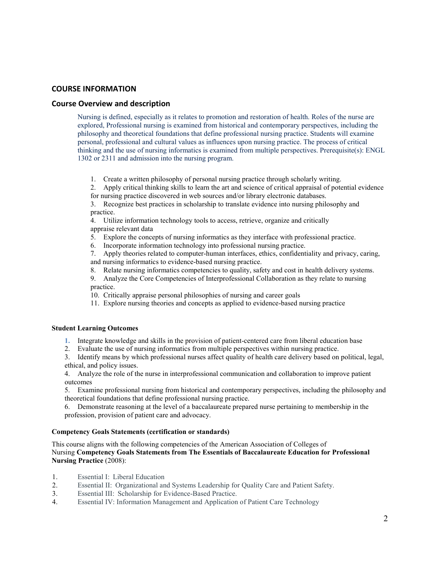### **COURSE INFORMATION**

#### **Course Overview and description**

Nursing is defined, especially as it relates to promotion and restoration of health. Roles of the nurse are explored, Professional nursing is examined from historical and contemporary perspectives, including the philosophy and theoretical foundations that define professional nursing practice. Students will examine personal, professional and cultural values as influences upon nursing practice. The process of critical thinking and the use of nursing informatics is examined from multiple perspectives. Prerequisite(s): ENGL 1302 or 2311 and admission into the nursing program.

- 1. Create a written philosophy of personal nursing practice through scholarly writing.
- 2. Apply critical thinking skills to learn the art and science of critical appraisal of potential evidence for nursing practice discovered in web sources and/or library electronic databases.
- 3. Recognize best practices in scholarship to translate evidence into nursing philosophy and practice.

4. Utilize information technology tools to access, retrieve, organize and critically appraise relevant data

- 5. Explore the concepts of nursing informatics as they interface with professional practice.
- 6. Incorporate information technology into professional nursing practice.

7. Apply theories related to computer-human interfaces, ethics, confidentiality and privacy, caring, and nursing informatics to evidence-based nursing practice.

- 8. Relate nursing informatics competencies to quality, safety and cost in health delivery systems.
- 9. Analyze the Core Competencies of Interprofessional Collaboration as they relate to nursing practice.
- 10. Critically appraise personal philosophies of nursing and career goals
- 11. Explore nursing theories and concepts as applied to evidence-based nursing practice

#### **Student Learning Outcomes**

- **1.** Integrate knowledge and skills in the provision of patient-centered care from liberal education base
- 2. Evaluate the use of nursing informatics from multiple perspectives within nursing practice.

3. Identify means by which professional nurses affect quality of health care delivery based on political, legal, ethical, and policy issues.

4. Analyze the role of the nurse in interprofessional communication and collaboration to improve patient outcomes

5. Examine professional nursing from historical and contemporary perspectives, including the philosophy and theoretical foundations that define professional nursing practice.

6. Demonstrate reasoning at the level of a baccalaureate prepared nurse pertaining to membership in the profession, provision of patient care and advocacy.

#### **Competency Goals Statements (certification or standards)**

This course aligns with the following competencies of the American Association of Colleges of Nursing **Competency Goals Statements from The Essentials of Baccalaureate Education for Professional Nursing Practice** (2008):

- 1. Essential I:  Liberal Education
- 2. Essential II: Organizational and Systems Leadership for Quality Care and Patient Safety.<br>
3. Essential III: Scholarship for Evidence-Based Practice.
- 3. Essential III: Scholarship for Evidence-Based Practice.<br>4. Essential IV: Information Management and Application
- Essential IV: Information Management and Application of Patient Care Technology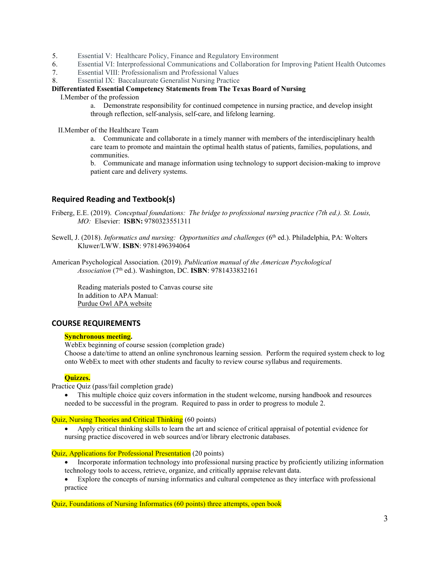- 5. Essential V:  Healthcare Policy, Finance and Regulatory Environment
- 6. Essential VI: Interprofessional Communications and Collaboration for Improving Patient Health Outcomes
- 7. Essential VIII: Professionalism and Professional Values
- 8. Essential IX:  Baccalaureate Generalist Nursing Practice

### **Differentiated Essential Competency Statements from The Texas Board of Nursing**

I.Member of the profession

a. Demonstrate responsibility for continued competence in nursing practice, and develop insight through reflection, self-analysis, self-care, and lifelong learning.

II.Member of the Healthcare Team

a. Communicate and collaborate in a timely manner with members of the interdisciplinary health care team to promote and maintain the optimal health status of patients, families, populations, and communities.

b. Communicate and manage information using technology to support decision-making to improve patient care and delivery systems.

## **Required Reading and Textbook(s)**

- Friberg, E.E. (2019).  *Conceptual foundations:  The bridge to professional nursing practice (7th ed.). St. Louis, MO:* Elsevier: **ISBN:** 9780323551311
- Sewell, J. (2018). *Informatics and nursing: Opportunities and challenges* (6<sup>th</sup> ed.). Philadelphia, PA: Wolters Kluwer/LWW. **ISBN**: 9781496394064
- American Psychological Association. (2019). *Publication manual of the American Psychological Association* (7th ed.). Washington, DC. **ISBN**: 9781433832161

Reading materials posted to Canvas course site In addition to APA Manual: [Purdue Owl APA website](https://owl.purdue.edu/owl/research_and_citation/apa_style/apa_formatting_and_style_guide/general_format.html)

### **COURSE REQUIREMENTS**

#### **Synchronous meeting.**

WebEx beginning of course session (completion grade) Choose a date/time to attend an online synchronous learning session. Perform the required system check to log onto WebEx to meet with other students and faculty to review course syllabus and requirements.

### **Quizzes.**

Practice Quiz (pass/fail completion grade)

This multiple choice quiz covers information in the student welcome, nursing handbook and resources needed to be successful in the program. Required to pass in order to progress to module 2.

#### Quiz, Nursing Theories and Critical Thinking (60 points)

• Apply critical thinking skills to learn the art and science of critical appraisal of potential evidence for nursing practice discovered in web sources and/or library electronic databases.

#### Quiz, Applications for Professional Presentation (20 points)

- Incorporate information technology into professional nursing practice by proficiently utilizing information technology tools to access, retrieve, organize, and critically appraise relevant data.
- Explore the concepts of nursing informatics and cultural competence as they interface with professional practice

Quiz, Foundations of Nursing Informatics (60 points) three attempts, open book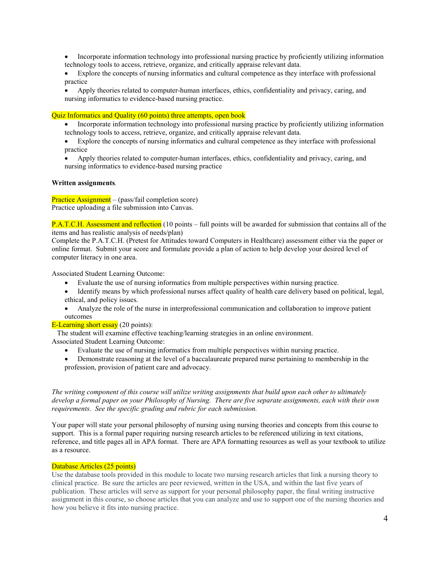- Incorporate information technology into professional nursing practice by proficiently utilizing information technology tools to access, retrieve, organize, and critically appraise relevant data.
- Explore the concepts of nursing informatics and cultural competence as they interface with professional practice
- Apply theories related to computer-human interfaces, ethics, confidentiality and privacy, caring, and nursing informatics to evidence-based nursing practice.

#### Quiz Informatics and Quality (60 points) three attempts, open book

- Incorporate information technology into professional nursing practice by proficiently utilizing information technology tools to access, retrieve, organize, and critically appraise relevant data.
- Explore the concepts of nursing informatics and cultural competence as they interface with professional practice
- Apply theories related to computer-human interfaces, ethics, confidentiality and privacy, caring, and nursing informatics to evidence-based nursing practice

#### **Written assignments***.*

Practice Assignment – (pass/fail completion score) Practice uploading a file submission into Canvas.

**P.A.T.C.H.** Assessment and reflection (10 points – full points will be awarded for submission that contains all of the items and has realistic analysis of needs/plan)

Complete the P.A.T.C.H. (Pretest for Attitudes toward Computers in Healthcare) assessment either via the paper or online format. Submit your score and formulate provide a plan of action to help develop your desired level of computer literacy in one area.

Associated Student Learning Outcome:

- Evaluate the use of nursing informatics from multiple perspectives within nursing practice.
- Identify means by which professional nurses affect quality of health care delivery based on political, legal, ethical, and policy issues.
- Analyze the role of the nurse in interprofessional communication and collaboration to improve patient outcomes

### E-Learning short essay  $(20 \text{ points})$ :

The student will examine effective teaching/learning strategies in an online environment.

- Associated Student Learning Outcome:
	- Evaluate the use of nursing informatics from multiple perspectives within nursing practice.
	- Demonstrate reasoning at the level of a baccalaureate prepared nurse pertaining to membership in the profession, provision of patient care and advocacy.

*The writing component of this course will utilize writing assignments that build upon each other to ultimately develop a formal paper on your Philosophy of Nursing. There are five separate assignments, each with their own requirements. See the specific grading and rubric for each submission.* 

Your paper will state your personal philosophy of nursing using nursing theories and concepts from this course to support. This is a formal paper requiring nursing research articles to be referenced utilizing in text citations, reference, and title pages all in APA format. There are APA formatting resources as well as your textbook to utilize as a resource.

### Database Articles (25 points)

Use the database tools provided in this module to locate two nursing research articles that link a nursing theory to clinical practice.  Be sure the articles are peer reviewed, written in the USA, and within the last five years of publication.  These articles will serve as support for your personal philosophy paper, the final writing instructive assignment in this course, so choose articles that you can analyze and use to support one of the nursing theories and how you believe it fits into nursing practice.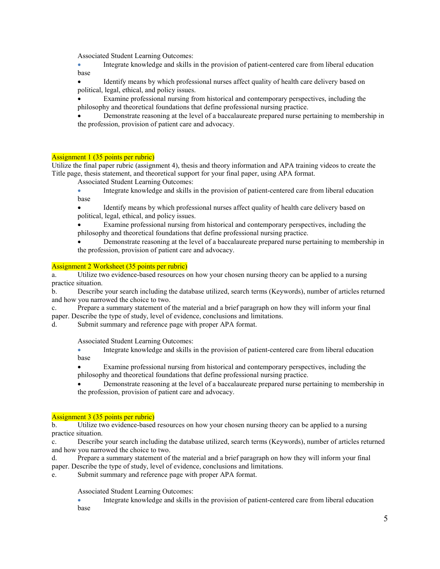Associated Student Learning Outcomes:

• Integrate knowledge and skills in the provision of patient-centered care from liberal education base

• Identify means by which professional nurses affect quality of health care delivery based on political, legal, ethical, and policy issues.

• Examine professional nursing from historical and contemporary perspectives, including the philosophy and theoretical foundations that define professional nursing practice.

• Demonstrate reasoning at the level of a baccalaureate prepared nurse pertaining to membership in the profession, provision of patient care and advocacy.

#### Assignment 1 (35 points per rubric)

Utilize the final paper rubric (assignment 4), thesis and theory information and APA training videos to create the Title page, thesis statement, and theoretical support for your final paper, using APA format.

Associated Student Learning Outcomes:

- Integrate knowledge and skills in the provision of patient-centered care from liberal education base
- Identify means by which professional nurses affect quality of health care delivery based on political, legal, ethical, and policy issues.
- Examine professional nursing from historical and contemporary perspectives, including the philosophy and theoretical foundations that define professional nursing practice.
- Demonstrate reasoning at the level of a baccalaureate prepared nurse pertaining to membership in the profession, provision of patient care and advocacy.

#### Assignment 2 Worksheet (35 points per rubric)

a. Utilize two evidence-based resources on how your chosen nursing theory can be applied to a nursing practice situation.

b. Describe your search including the database utilized, search terms (Keywords), number of articles returned and how you narrowed the choice to two.

c. Prepare a summary statement of the material and a brief paragraph on how they will inform your final paper. Describe the type of study, level of evidence, conclusions and limitations.

d. Submit summary and reference page with proper APA format.

Associated Student Learning Outcomes:

• Integrate knowledge and skills in the provision of patient-centered care from liberal education base

• Examine professional nursing from historical and contemporary perspectives, including the philosophy and theoretical foundations that define professional nursing practice.

• Demonstrate reasoning at the level of a baccalaureate prepared nurse pertaining to membership in the profession, provision of patient care and advocacy.

#### Assignment 3 (35 points per rubric)

b. Utilize two evidence-based resources on how your chosen nursing theory can be applied to a nursing practice situation.

c. Describe your search including the database utilized, search terms (Keywords), number of articles returned and how you narrowed the choice to two.

d. Prepare a summary statement of the material and a brief paragraph on how they will inform your final paper. Describe the type of study, level of evidence, conclusions and limitations.

e. Submit summary and reference page with proper APA format.

Associated Student Learning Outcomes:

• Integrate knowledge and skills in the provision of patient-centered care from liberal education base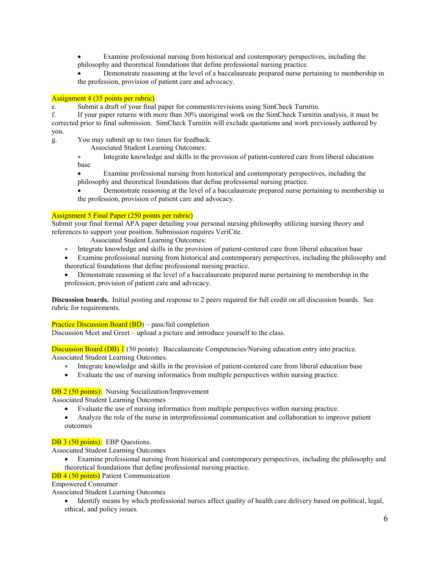Examine professional nursing from historical and contemporary perspectives, including the philosophy and theoretical foundations that define professional nursing practice.

• Demonstrate reasoning at the level of a baccalaureate prepared nurse pertaining to membership in the profession, provision of patient care and advocacy.

#### Assignment 4 (35 points per rubric)

e. Submit a draft of your final paper for comments/revisions using SimCheck Turnitin.<br>
f. If your paper returns with more than 30% unoriginal work on the SimCheck Turnitin

If your paper returns with more than 30% unoriginal work on the SimCheck Turnitin analysis, it must be corrected prior to final submission. SimCheck Turnitin will exclude quotations and work previously authored by you.

g. You may submit up to two times for feedback.

Associated Student Learning Outcomes:

• Integrate knowledge and skills in the provision of patient-centered care from liberal education base

• Examine professional nursing from historical and contemporary perspectives, including the philosophy and theoretical foundations that define professional nursing practice.

• Demonstrate reasoning at the level of a baccalaureate prepared nurse pertaining to membership in the profession, provision of patient care and advocacy.

#### Assignment 5 Final Paper (250 points per rubric)

Submit your final formal APA paper detailing your personal nursing philosophy utilizing nursing theory and references to support your position. Submission requires VeriCite.

Associated Student Learning Outcomes:

- Integrate knowledge and skills in the provision of patient-centered care from liberal education base
- Examine professional nursing from historical and contemporary perspectives, including the philosophy and theoretical foundations that define professional nursing practice.
- Demonstrate reasoning at the level of a baccalaureate prepared nurse pertaining to membership in the profession, provision of patient care and advocacy.

**Discussion boards.** Initial posting and response to 2 peers required for full credit on all discussion boards. See rubric for requirements.

Practice Discussion Board (BD) – pass/fail completion

Discussion Meet and Greet – upload a picture and introduce yourself to the class.

Discussion Board (DB) 1 (50 points): Baccalaureate Competencies/Nursing education entry into practice. Associated Student Learning Outcomes.

- Integrate knowledge and skills in the provision of patient-centered care from liberal education base
- Evaluate the use of nursing informatics from multiple perspectives within nursing practice.

### DB 2 (50 points): Nursing Socialization/Improvement

Associated Student Learning Outcomes

- Evaluate the use of nursing informatics from multiple perspectives within nursing practice.
- Analyze the role of the nurse in interprofessional communication and collaboration to improve patient outcomes

#### DB 3 (50 points): EBP Questions.

Associated Student Learning Outcomes

• Examine professional nursing from historical and contemporary perspectives, including the philosophy and theoretical foundations that define professional nursing practice.

#### DB 4 (50 points) Patient Communication

Empowered Consumer

Associated Student Learning Outcomes

• Identify means by which professional nurses affect quality of health care delivery based on political, legal, ethical, and policy issues.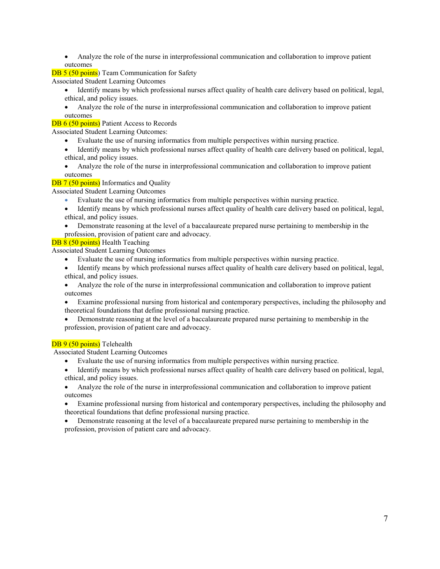• Analyze the role of the nurse in interprofessional communication and collaboration to improve patient outcomes

DB 5 (50 points) Team Communication for Safety

Associated Student Learning Outcomes

- Identify means by which professional nurses affect quality of health care delivery based on political, legal, ethical, and policy issues.
- Analyze the role of the nurse in interprofessional communication and collaboration to improve patient outcomes

### DB 6 (50 points) Patient Access to Records

Associated Student Learning Outcomes:

- Evaluate the use of nursing informatics from multiple perspectives within nursing practice.
- Identify means by which professional nurses affect quality of health care delivery based on political, legal, ethical, and policy issues.
- Analyze the role of the nurse in interprofessional communication and collaboration to improve patient outcomes

### DB 7 (50 points) Informatics and Quality

Associated Student Learning Outcomes

- Evaluate the use of nursing informatics from multiple perspectives within nursing practice.
- Identify means by which professional nurses affect quality of health care delivery based on political, legal, ethical, and policy issues.
- Demonstrate reasoning at the level of a baccalaureate prepared nurse pertaining to membership in the
- profession, provision of patient care and advocacy.

### DB 8 (50 points) Health Teaching

Associated Student Learning Outcomes

- Evaluate the use of nursing informatics from multiple perspectives within nursing practice.
- Identify means by which professional nurses affect quality of health care delivery based on political, legal, ethical, and policy issues.
- Analyze the role of the nurse in interprofessional communication and collaboration to improve patient outcomes
- Examine professional nursing from historical and contemporary perspectives, including the philosophy and theoretical foundations that define professional nursing practice.
- Demonstrate reasoning at the level of a baccalaureate prepared nurse pertaining to membership in the profession, provision of patient care and advocacy.

### DB 9 (50 points) Telehealth

Associated Student Learning Outcomes

- Evaluate the use of nursing informatics from multiple perspectives within nursing practice.
- Identify means by which professional nurses affect quality of health care delivery based on political, legal, ethical, and policy issues.
- Analyze the role of the nurse in interprofessional communication and collaboration to improve patient outcomes
- Examine professional nursing from historical and contemporary perspectives, including the philosophy and theoretical foundations that define professional nursing practice.
- Demonstrate reasoning at the level of a baccalaureate prepared nurse pertaining to membership in the profession, provision of patient care and advocacy.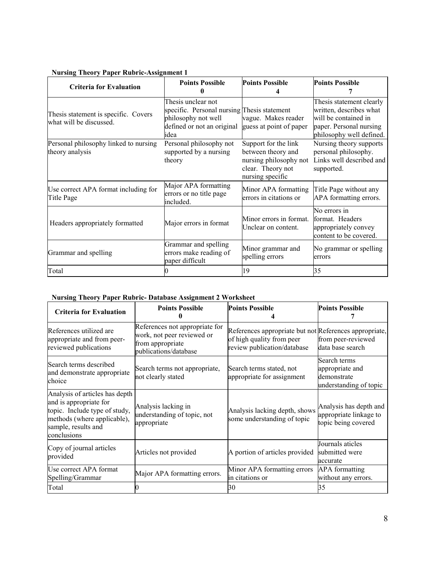| 0<br><b>Criteria for Evaluation</b>                             | <b>Points Possible</b>                                                                                                         | <b>Points Possible</b>                                                                                        | <b>Points Possible</b>                                                                                                             |
|-----------------------------------------------------------------|--------------------------------------------------------------------------------------------------------------------------------|---------------------------------------------------------------------------------------------------------------|------------------------------------------------------------------------------------------------------------------------------------|
| Thesis statement is specific. Covers<br>what will be discussed. | Thesis unclear not<br>specific. Personal nursing Thesis statement<br>philosophy not well<br>defined or not an original<br>idea | vague. Makes reader<br>guess at point of paper                                                                | Thesis statement clearly<br>written, describes what<br>will be contained in<br>paper. Personal nursing<br>philosophy well defined. |
| Personal philosophy linked to nursing<br>theory analysis        | Personal philosophy not<br>supported by a nursing<br>theory                                                                    | Support for the link<br>between theory and<br>nursing philosophy not<br>clear. Theory not<br>nursing specific | Nursing theory supports<br>personal philosophy.<br>Links well described and<br>supported.                                          |
| Use correct APA format including for<br>Title Page              | Major APA formatting<br>errors or no title page<br>included.                                                                   | Minor APA formatting<br>errors in citations or                                                                | Title Page without any<br>APA formatting errors.                                                                                   |
| Headers appropriately formatted                                 | Major errors in format                                                                                                         | Minor errors in format.<br>Unclear on content.                                                                | No errors in<br>format. Headers<br>appropriately convey<br>content to be covered.                                                  |
| Grammar and spelling                                            | Grammar and spelling<br>errors make reading of<br>paper difficult                                                              | Minor grammar and<br>spelling errors                                                                          | No grammar or spelling<br>errors                                                                                                   |
| Total                                                           |                                                                                                                                | 19                                                                                                            | 35                                                                                                                                 |

### **Nursing Theory Paper Rubric-Assignment 1**

# **Nursing Theory Paper Rubric- Database Assignment 2 Worksheet**

| <b>Criteria for Evaluation</b>                                                                                                                                 | <b>Points Possible</b>                                                                                    | <b>Points Possible</b>                                                                                             | <b>Points Possible</b>                                                   |
|----------------------------------------------------------------------------------------------------------------------------------------------------------------|-----------------------------------------------------------------------------------------------------------|--------------------------------------------------------------------------------------------------------------------|--------------------------------------------------------------------------|
| References utilized are<br>appropriate and from peer-<br>reviewed publications                                                                                 | References not appropriate for<br>work, not peer reviewed or<br>from appropriate<br>publications/database | References appropriate but not References appropriate,<br>of high quality from peer<br>review publication/database | from peer-reviewed<br>data base search                                   |
| Search terms described<br>and demonstrate appropriate<br>choice                                                                                                | Search terms not appropriate,<br>not clearly stated                                                       | Search terms stated, not<br>appropriate for assignment                                                             | Search terms<br>appropriate and<br>demonstrate<br>understanding of topic |
| Analysis of articles has depth<br>and is appropriate for<br>topic. Include type of study,<br>methods (where applicable),<br>sample, results and<br>conclusions | Analysis lacking in<br>understanding of topic, not<br>appropriate                                         | Analysis lacking depth, shows<br>some understanding of topic                                                       | Analysis has depth and<br>appropriate linkage to<br>topic being covered  |
| Copy of journal articles<br>provided                                                                                                                           | Articles not provided                                                                                     | A portion of articles provided                                                                                     | Journals aticles<br>submitted were<br>accurate                           |
| Use correct APA format<br>Spelling/Grammar                                                                                                                     | Major APA formatting errors.                                                                              | Minor APA formatting errors<br>in citations or                                                                     | <b>APA</b> formatting<br>without any errors.                             |
| Total                                                                                                                                                          |                                                                                                           | 30                                                                                                                 | 35                                                                       |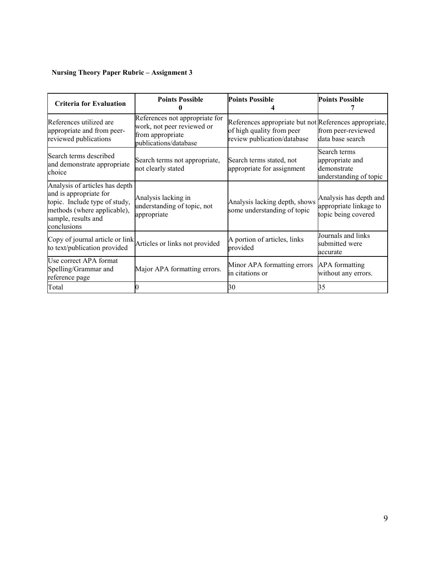# **Nursing Theory Paper Rubric – Assignment 3**

| <b>Criteria for Evaluation</b>                                                                                                                                 | <b>Points Possible</b>                                                                                    | <b>Points Possible</b>                                                                                             | <b>Points Possible</b>                                                   |
|----------------------------------------------------------------------------------------------------------------------------------------------------------------|-----------------------------------------------------------------------------------------------------------|--------------------------------------------------------------------------------------------------------------------|--------------------------------------------------------------------------|
| References utilized are<br>appropriate and from peer-<br>reviewed publications                                                                                 | References not appropriate for<br>work, not peer reviewed or<br>from appropriate<br>publications/database | References appropriate but not References appropriate,<br>of high quality from peer<br>review publication/database | from peer-reviewed<br>data base search                                   |
| Search terms described<br>and demonstrate appropriate<br>choice                                                                                                | Search terms not appropriate,<br>not clearly stated                                                       | Search terms stated, not<br>appropriate for assignment                                                             | Search terms<br>appropriate and<br>demonstrate<br>understanding of topic |
| Analysis of articles has depth<br>and is appropriate for<br>topic. Include type of study,<br>methods (where applicable),<br>sample, results and<br>conclusions | Analysis lacking in<br>understanding of topic, not<br>appropriate                                         | Analysis lacking depth, shows<br>some understanding of topic                                                       | Analysis has depth and<br>appropriate linkage to<br>topic being covered  |
| Copy of journal article or link<br>to text/publication provided                                                                                                | Articles or links not provided                                                                            | A portion of articles, links<br>provided                                                                           | Journals and links<br>submitted were<br>accurate                         |
| Use correct APA format<br>Spelling/Grammar and<br>reference page                                                                                               | Major APA formatting errors.                                                                              | Minor APA formatting errors<br>in citations or                                                                     | <b>APA</b> formatting<br>without any errors.                             |
| Total                                                                                                                                                          |                                                                                                           | 30                                                                                                                 | 35                                                                       |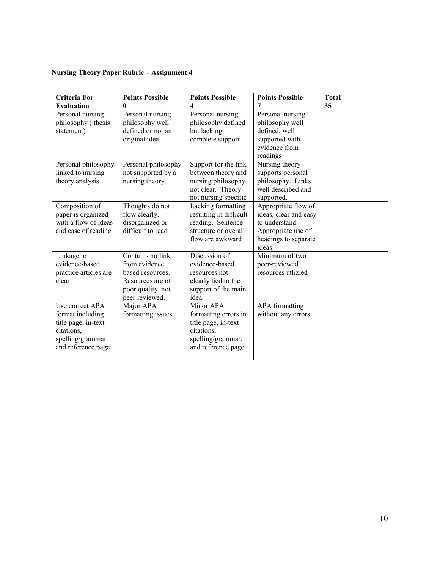# **Nursing Theory Paper Rubric – Assignment 4**

| <b>Criteria For</b><br><b>Evaluation</b>                                                                           | <b>Points Possible</b><br>0                                                                                      | <b>Points Possible</b><br>4                                                                                       | <b>Points Possible</b><br>7                                                                                            | <b>Total</b><br>35 |
|--------------------------------------------------------------------------------------------------------------------|------------------------------------------------------------------------------------------------------------------|-------------------------------------------------------------------------------------------------------------------|------------------------------------------------------------------------------------------------------------------------|--------------------|
| Personal nursing<br>philosophy (thesis<br>statement)                                                               | Personal nursing<br>philosophy well<br>defined or not an<br>original idea                                        | Personal nursing<br>philosophy defined<br>but lacking<br>complete support                                         | Personal nursing<br>philosophy well<br>defined, well<br>supported with<br>evidence from<br>readings                    |                    |
| Personal philosophy<br>linked to nursing<br>theory analysis                                                        | Personal philosophy<br>not supported by a<br>nursing theory                                                      | Support for the link<br>between theory and<br>nursing philosophy<br>not clear. Theory<br>not nursing specific     | Nursing theory<br>supports personal<br>philosophy. Links<br>well described and<br>supported.                           |                    |
| Composition of<br>paper is organized<br>with a flow of ideas<br>and ease of reading                                | Thoughts do not<br>flow clearly,<br>disorganized or<br>difficult to read                                         | Lacking formatting<br>resulting in difficult<br>reading. Sentence<br>structure or overall<br>flow are awkward     | Appropriate flow of<br>ideas, clear and easy<br>to understand.<br>Appropriate use of<br>headings to separate<br>ideas. |                    |
| Linkage to<br>evidence-based<br>practice articles are<br>clear                                                     | Contains no link<br>from evidence<br>based resources.<br>Resources are of<br>poor quality, not<br>peer reviewed. | Discussion of<br>evidence-based<br>resources not<br>clearly tied to the<br>support of the main<br>idea.           | Minimum of two<br>peer-reviewed<br>resources utlizied                                                                  |                    |
| Use correct APA<br>format including<br>title page, in-text<br>citations,<br>spelling/grammar<br>and reference page | Major APA<br>formatting issues                                                                                   | Minor APA<br>formatting errors in<br>title page, in-text<br>citations,<br>spelling/grammar,<br>and reference page | APA formatting<br>without any errors                                                                                   |                    |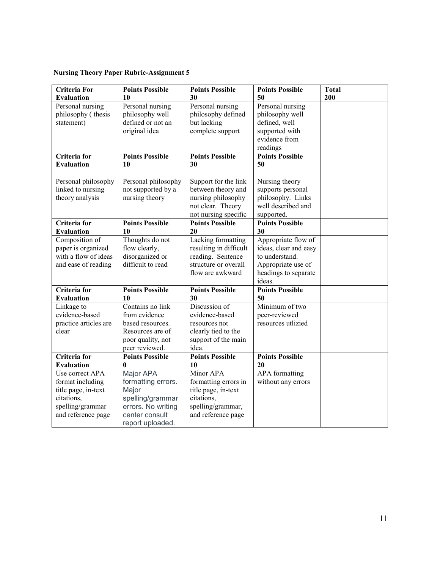# **Nursing Theory Paper Rubric-Assignment 5**

| <b>Criteria For</b>   | <b>Points Possible</b> | <b>Points Possible</b> | <b>Points Possible</b> | <b>Total</b> |
|-----------------------|------------------------|------------------------|------------------------|--------------|
| Evaluation            | 10                     | 30                     | 50                     | 200          |
| Personal nursing      | Personal nursing       | Personal nursing       | Personal nursing       |              |
| philosophy (thesis    | philosophy well        | philosophy defined     | philosophy well        |              |
| statement)            | defined or not an      | but lacking            | defined, well          |              |
|                       | original idea          | complete support       | supported with         |              |
|                       |                        |                        | evidence from          |              |
|                       |                        |                        | readings               |              |
| Criteria for          | <b>Points Possible</b> | <b>Points Possible</b> | <b>Points Possible</b> |              |
| <b>Evaluation</b>     | 10                     | 30                     | 50                     |              |
| Personal philosophy   | Personal philosophy    | Support for the link   | Nursing theory         |              |
| linked to nursing     | not supported by a     | between theory and     | supports personal      |              |
| theory analysis       | nursing theory         | nursing philosophy     | philosophy. Links      |              |
|                       |                        | not clear. Theory      | well described and     |              |
|                       |                        | not nursing specific   | supported.             |              |
| Criteria for          | <b>Points Possible</b> | <b>Points Possible</b> | <b>Points Possible</b> |              |
| <b>Evaluation</b>     | 10                     | 20                     | 30                     |              |
| Composition of        | Thoughts do not        | Lacking formatting     | Appropriate flow of    |              |
| paper is organized    | flow clearly,          | resulting in difficult | ideas, clear and easy  |              |
| with a flow of ideas  | disorganized or        | reading. Sentence      | to understand.         |              |
| and ease of reading   | difficult to read      | structure or overall   | Appropriate use of     |              |
|                       |                        | flow are awkward       | headings to separate   |              |
|                       |                        |                        | ideas.                 |              |
| Criteria for          | <b>Points Possible</b> | <b>Points Possible</b> | <b>Points Possible</b> |              |
| <b>Evaluation</b>     | 10                     | 30                     | 50                     |              |
| Linkage to            | Contains no link       | Discussion of          | Minimum of two         |              |
| evidence-based        | from evidence          | evidence-based         | peer-reviewed          |              |
| practice articles are | based resources.       | resources not          | resources utlizied     |              |
| clear                 | Resources are of       | clearly tied to the    |                        |              |
|                       | poor quality, not      | support of the main    |                        |              |
|                       | peer reviewed.         | idea.                  |                        |              |
| Criteria for          | <b>Points Possible</b> | <b>Points Possible</b> | <b>Points Possible</b> |              |
| <b>Evaluation</b>     | 0                      | 10                     | 20                     |              |
| Use correct APA       | Major APA              | Minor APA              | <b>APA</b> formatting  |              |
| format including      | formatting errors.     | formatting errors in   | without any errors     |              |
| title page, in-text   | Major                  | title page, in-text    |                        |              |
| citations,            | spelling/grammar       | citations,             |                        |              |
| spelling/grammar      | errors. No writing     | spelling/grammar,      |                        |              |
| and reference page    | center consult         | and reference page     |                        |              |
|                       | report uploaded.       |                        |                        |              |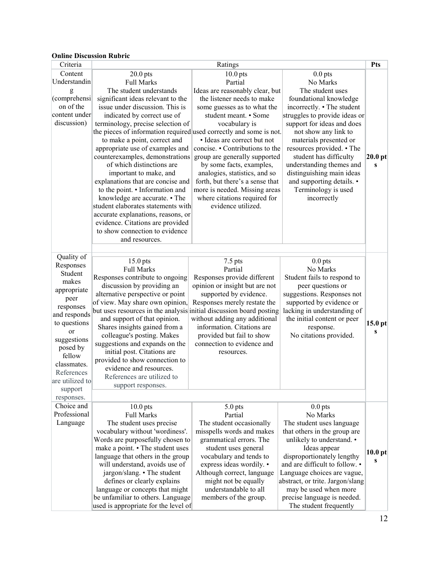## **Online Discussion Rubric**

| Criteria                  | Ratings                                                             |                                 |                                  | Pts                |
|---------------------------|---------------------------------------------------------------------|---------------------------------|----------------------------------|--------------------|
| Content                   | $20.0$ pts                                                          | $10.0$ pts                      | $0.0$ pts                        |                    |
| Understandin              | <b>Full Marks</b>                                                   | Partial                         | No Marks                         |                    |
| g                         | The student understands                                             | Ideas are reasonably clear, but | The student uses                 |                    |
| (comprehensi              | significant ideas relevant to the                                   | the listener needs to make      | foundational knowledge           |                    |
| on of the                 | issue under discussion. This is                                     | some guesses as to what the     | incorrectly. • The student       |                    |
| content under             | indicated by correct use of                                         | student meant. • Some           | struggles to provide ideas or    |                    |
| discussion)               | terminology, precise selection of                                   | vocabulary is                   | support for ideas and does       |                    |
|                           | the pieces of information required used correctly and some is not.  |                                 | not show any link to             |                    |
|                           | to make a point, correct and                                        | · Ideas are correct but not     | materials presented or           |                    |
|                           | appropriate use of examples and                                     | concise. • Contributions to the | resources provided. • The        |                    |
|                           | counterexamples, demonstrations                                     | group are generally supported   | student has difficulty           | $20.0$ pt          |
|                           | of which distinctions are                                           | by some facts, examples,        | understanding themes and         | S                  |
|                           | important to make, and                                              | analogies, statistics, and so   | distinguishing main ideas        |                    |
|                           | explanations that are concise and                                   | forth, but there's a sense that | and supporting details. •        |                    |
|                           | to the point. • Information and                                     | more is needed. Missing areas   | Terminology is used              |                    |
|                           | knowledge are accurate. • The                                       | where citations required for    | incorrectly                      |                    |
|                           | student elaborates statements with                                  | evidence utilized.              |                                  |                    |
|                           | accurate explanations, reasons, or                                  |                                 |                                  |                    |
|                           | evidence. Citations are provided                                    |                                 |                                  |                    |
|                           | to show connection to evidence                                      |                                 |                                  |                    |
|                           | and resources.                                                      |                                 |                                  |                    |
|                           |                                                                     |                                 |                                  |                    |
| Quality of                | $15.0$ pts                                                          | $7.5$ pts                       | $0.0$ pts                        |                    |
| Responses                 | <b>Full Marks</b>                                                   | Partial                         | No Marks                         |                    |
| Student<br>makes          | Responses contribute to ongoing                                     | Responses provide different     | Student fails to respond to      |                    |
|                           | discussion by providing an                                          | opinion or insight but are not  | peer questions or                |                    |
| appropriate               | alternative perspective or point                                    | supported by evidence.          | suggestions. Responses not       |                    |
| peer                      | of view. May share own opinion,                                     | Responses merely restate the    | supported by evidence or         |                    |
| responses<br>and responds | but uses resources in the analysis initial discussion board posting |                                 | lacking in understanding of      |                    |
| to questions              | and support of that opinion.                                        | without adding any additional   | the initial content or peer      | 15.0 <sub>pt</sub> |
| or                        | Shares insights gained from a                                       | information. Citations are      | response.                        | S                  |
| suggestions               | colleague's posting. Makes                                          | provided but fail to show       | No citations provided.           |                    |
| posed by                  | suggestions and expands on the                                      | connection to evidence and      |                                  |                    |
| fellow                    | initial post. Citations are                                         | resources.                      |                                  |                    |
| classmates.               | provided to show connection to                                      |                                 |                                  |                    |
| References                | evidence and resources.                                             |                                 |                                  |                    |
| are utilized to           | References are utilized to                                          |                                 |                                  |                    |
| support                   | support responses.                                                  |                                 |                                  |                    |
| responses.                |                                                                     |                                 |                                  |                    |
| Choice and                | $10.0$ pts                                                          | 5.0 pts                         | $0.0$ pts                        |                    |
| Professional              | <b>Full Marks</b>                                                   | Partial                         | No Marks                         |                    |
| Language                  | The student uses precise                                            | The student occasionally        | The student uses language        |                    |
|                           | vocabulary without 'wordiness'.                                     | misspells words and makes       | that others in the group are     |                    |
|                           | Words are purposefully chosen to                                    | grammatical errors. The         | unlikely to understand. •        |                    |
|                           | make a point. • The student uses                                    | student uses general            | Ideas appear                     |                    |
|                           | language that others in the group                                   | vocabulary and tends to         | disproportionately lengthy       | 10.0 <sub>pt</sub> |
|                           | will understand, avoids use of                                      | express ideas wordily. •        | and are difficult to follow. •   | S                  |
|                           | jargon/slang. • The student                                         | Although correct, language      | Language choices are vague,      |                    |
|                           | defines or clearly explains                                         | might not be equally            | abstract, or trite. Jargon/slang |                    |
|                           | language or concepts that might                                     | understandable to all           | may be used when more            |                    |
|                           | be unfamiliar to others. Language                                   | members of the group.           | precise language is needed.      |                    |
|                           | used is appropriate for the level of                                |                                 | The student frequently           |                    |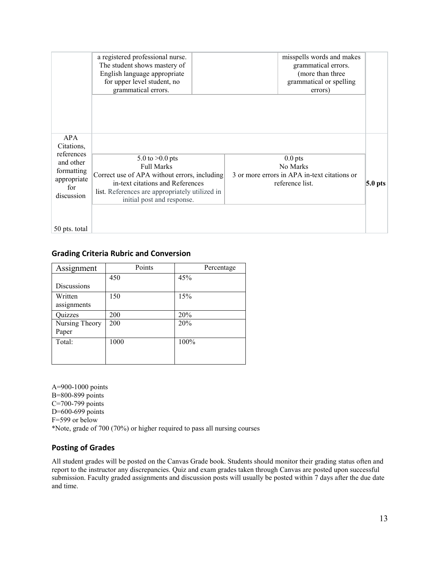|                                                                                                | a registered professional nurse.<br>The student shows mastery of<br>English language appropriate<br>for upper level student, no<br>grammatical errors.                                                     | misspells words and makes<br>grammatical errors.<br>(more than three<br>grammatical or spelling<br>errors) |           |
|------------------------------------------------------------------------------------------------|------------------------------------------------------------------------------------------------------------------------------------------------------------------------------------------------------------|------------------------------------------------------------------------------------------------------------|-----------|
| APA<br>Citations,<br>references<br>and other<br>formatting<br>appropriate<br>for<br>discussion | 5.0 to $>0.0$ pts<br><b>Full Marks</b><br>Correct use of APA without errors, including<br>in-text citations and References<br>list. References are appropriately utilized in<br>initial post and response. | $0.0$ pts<br>No Marks<br>3 or more errors in APA in-text citations or<br>reference list.                   | $5.0$ pts |
| 50 pts. total                                                                                  |                                                                                                                                                                                                            |                                                                                                            |           |

# **Grading Criteria Rubric and Conversion**

| Assignment             | Points | Percentage |
|------------------------|--------|------------|
|                        | 450    | 45%        |
| <b>Discussions</b>     |        |            |
| Written<br>assignments | 150    | 15%        |
| Quizzes                | 200    | 20%        |
| Nursing Theory         | 200    | 20%        |
| Paper                  |        |            |
| Total:                 | 1000   | 100%       |
|                        |        |            |
|                        |        |            |

A=900-1000 points B=800-899 points C=700-799 points D=600-699 points F=599 or below \*Note, grade of 700 (70%) or higher required to pass all nursing courses

## **Posting of Grades**

All student grades will be posted on the Canvas Grade book. Students should monitor their grading status often and report to the instructor any discrepancies. Quiz and exam grades taken through Canvas are posted upon successful submission. Faculty graded assignments and discussion posts will usually be posted within 7 days after the due date and time.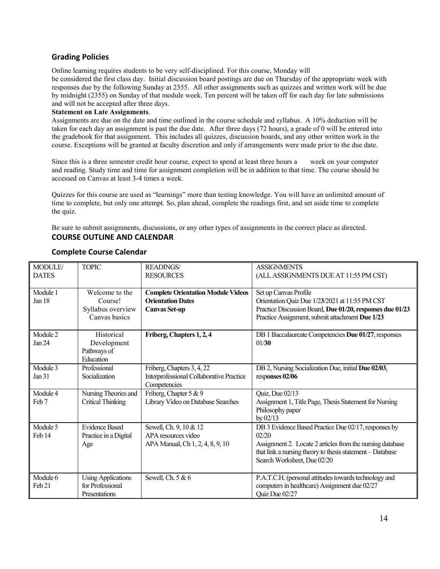## **Grading Policies**

Online learning requires students to be very self-disciplined. For this course, Monday will

be considered the first class day. Initial discussion board postings are due on Thursday of the appropriate week with responses due by the following Sunday at 2355. All other assignments such as quizzes and written work will be due by midnight (2355) on Sunday of that module week. Ten percent will be taken off for each day for late submissions and will not be accepted after three days.

#### **Statement on Late Assignments**.

Assignments are due on the date and time outlined in the course schedule and syllabus. A 10% deduction will be taken for each day an assignment is past the due date. After three days (72 hours), a grade of 0 will be entered into the gradebook for that assignment. This includes all quizzes, discussion boards, and any other written work in the course. Exceptions will be granted at faculty discretion and only if arrangements were made prior to the due date.

Since this is a three semester credit hour course, expect to spend at least three hours a week on your computer and reading. Study time and time for assignment completion will be in addition to that time. The course should be accessed on Canvas at least 3-4 times a week.

Quizzes for this course are used as "learnings" more than testing knowledge. You will have an unlimited amount of time to complete, but only one attempt. So, plan ahead, complete the readings first, and set aside time to complete the quiz.

Be sure to submit assignments, discussions, or any other types of assignments in the correct place as directed. **COURSE OUTLINE AND CALENDAR**

| MODULE/           | <b>TOPIC</b>                                  | <b>READINGS/</b>                          | <b>ASSIGNMENTS</b>                                        |
|-------------------|-----------------------------------------------|-------------------------------------------|-----------------------------------------------------------|
| <b>DATES</b>      |                                               | <b>RESOURCES</b>                          | (ALL ASSIGNMENTS DUE AT 11:55 PM CST)                     |
| Module 1          | Welcome to the                                | <b>Complete Orientation Module Videos</b> | Set up Canvas Profile                                     |
| Jan 18            | Course!                                       | <b>Orientation Dates</b>                  | Orientation Quiz Due 1/23/2021 at 11:55 PM CST            |
|                   | Syllabus overview                             | <b>Canvas Set-up</b>                      | Practice Discussion Board, Due 01/20, responses due 01/23 |
|                   | Canvas basics                                 |                                           | Practice Assignment, submit attachment Due 1/23           |
|                   |                                               |                                           |                                                           |
| Module 2          | Historical                                    | Friberg, Chapters 1, 2, 4                 | DB 1 Baccalaureate Competencies Due 01/27, responses      |
| Jan 24            | Development                                   |                                           | 01/30                                                     |
|                   | Pathways of                                   |                                           |                                                           |
|                   | Education                                     |                                           |                                                           |
| Module 3          | Professional                                  | Friberg, Chapters 3, 4, 22                | DB 2, Nursing Socialization Due, initial Due 02/03,       |
| Jan 31            | Socialization                                 | Interprofessional Collaborative Practice  | responses 02/06                                           |
|                   |                                               | Competencies                              |                                                           |
| Module 4          | Nursing Theories and                          | Friberg, Chapter 5 & 9                    | Quiz, Due 02/13                                           |
| Feb <sub>7</sub>  | Critical Thinking                             | Library Video on Database Searches        | Assignment 1, Title Page, Thesis Statement for Nursing    |
|                   |                                               |                                           | Philosophy paper                                          |
|                   |                                               |                                           | by $02/13$                                                |
| Module 5          | <b>Evidence Based</b>                         | Sewell, Ch. 9, 10 & 12                    | DB 3 Evidence Based Practice Due 02/17, responses by      |
| Feb 14            | Practice in a Digital                         | APA resources video                       | 02/20                                                     |
|                   | Age                                           | APA Manual, Ch 1, 2, 4, 8, 9, 10          | Assignment 2. Locate 2 articles from the nursing database |
|                   |                                               |                                           | that link a nursing theory to thesis statement - Database |
|                   |                                               |                                           | Search Worksheet, Due 02/20                               |
|                   |                                               |                                           |                                                           |
| Module 6          | <b>Using Applications</b><br>for Professional | Sewell, Ch. 5 & 6                         | P.A.T.C.H. (personal attitudes towards technology and     |
| Feb <sub>21</sub> |                                               |                                           | computers in healthcare) Assignment due 02/27             |
|                   | Presentations                                 |                                           | Quiz Due 02/27                                            |

## **Complete Course Calendar**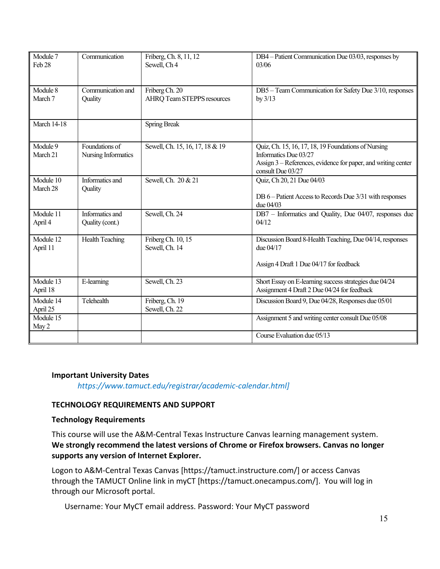| Module 7<br>Feb 28    | Communication                         | Friberg, Ch. 8, 11, 12<br>Sewell, Ch <sub>4</sub>   | DB4 - Patient Communication Due 03/03, responses by<br>03/06                                                                                                       |
|-----------------------|---------------------------------------|-----------------------------------------------------|--------------------------------------------------------------------------------------------------------------------------------------------------------------------|
| Module 8<br>March 7   | Communication and<br>Quality          | Friberg Ch. 20<br><b>AHRQ Team STEPPS resources</b> | DB5 - Team Communication for Safety Due 3/10, responses<br>by $3/13$                                                                                               |
| March $14-18$         |                                       | <b>Spring Break</b>                                 |                                                                                                                                                                    |
| Module 9<br>March 21  | Foundations of<br>Nursing Informatics | Sewell, Ch. 15, 16, 17, 18 & 19                     | Quiz, Ch. 15, 16, 17, 18, 19 Foundations of Nursing<br>Informatics Due 03/27<br>Assign 3 – References, evidence for paper, and writing center<br>consult Due 03/27 |
| Module 10<br>March 28 | Informatics and<br>Quality            | Sewell, Ch. 20 & 21                                 | Quiz, Ch 20, 21 Due 04/03<br>DB 6 – Patient Access to Records Due 3/31 with responses<br>due $04/03$                                                               |
| Module 11<br>April 4  | Informatics and<br>Quality (cont.)    | Sewell, Ch. 24                                      | DB7 - Informatics and Quality, Due 04/07, responses due<br>04/12                                                                                                   |
| Module 12<br>April 11 | <b>Health Teaching</b>                | Friberg Ch. 10, 15<br>Sewell, Ch. 14                | Discussion Board 8-Health Teaching, Due 04/14, responses<br>due $04/17$<br>Assign 4 Draft 1 Due 04/17 for feedback                                                 |
| Module 13<br>April 18 | E-learning                            | Sewell, Ch. 23                                      | Short Essay on E-learning success strategies due 04/24<br>Assignment 4 Draft 2 Due 04/24 for feedback                                                              |
| Module 14<br>April 25 | Telehealth                            | Friberg, Ch. 19<br>Sewell, Ch. 22                   | Discussion Board 9, Due 04/28, Responses due 05/01                                                                                                                 |
| Module 15<br>May 2    |                                       |                                                     | Assignment 5 and writing center consult Due 05/08                                                                                                                  |
|                       |                                       |                                                     | Course Evaluation due 05/13                                                                                                                                        |

## **Important University Dates**

*https://www.tamuct.edu/registrar/academic-calendar.html]*

# **TECHNOLOGY REQUIREMENTS AND SUPPORT**

## **Technology Requirements**

This course will use the A&M-Central Texas Instructure Canvas learning management system. **We strongly recommend the latest versions of Chrome or Firefox browsers. Canvas no longer supports any version of Internet Explorer.**

Logon to A&M-Central Texas Canvas [https://tamuct.instructure.com/] or access Canvas through the TAMUCT Online link in myCT [https://tamuct.onecampus.com/]. You will log in through our Microsoft portal.

Username: Your MyCT email address. Password: Your MyCT password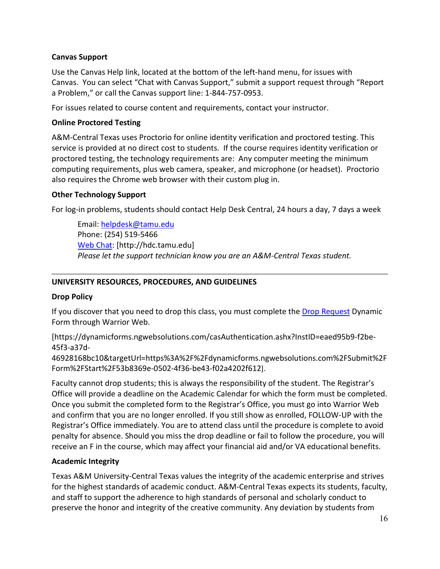# **Canvas Support**

Use the Canvas Help link, located at the bottom of the left-hand menu, for issues with Canvas. You can select "Chat with Canvas Support," submit a support request through "Report a Problem," or call the Canvas support line: 1-844-757-0953.

For issues related to course content and requirements, contact your instructor.

# **Online Proctored Testing**

A&M-Central Texas uses Proctorio for online identity verification and proctored testing. This service is provided at no direct cost to students. If the course requires identity verification or proctored testing, the technology requirements are: Any computer meeting the minimum computing requirements, plus web camera, speaker, and microphone (or headset). Proctorio also requires the Chrome web browser with their custom plug in.

# **Other Technology Support**

For log-in problems, students should contact Help Desk Central, 24 hours a day, 7 days a week

Email: [helpdesk@tamu.edu](mailto:helpdesk@tamu.edu) Phone: (254) 519-5466 [Web Chat:](http://hdc.tamu.edu/) [http://hdc.tamu.edu] *Please let the support technician know you are an A&M-Central Texas student.*

## **UNIVERSITY RESOURCES, PROCEDURES, AND GUIDELINES**

## **Drop Policy**

If you discover that you need to drop this class, you must complete the [Drop Request](https://dynamicforms.ngwebsolutions.com/casAuthentication.ashx?InstID=eaed95b9-f2be-45f3-a37d-46928168bc10&targetUrl=https%3A%2F%2Fdynamicforms.ngwebsolutions.com%2FSubmit%2FForm%2FStart%2F53b8369e-0502-4f36-be43-f02a4202f612) Dynamic Form through Warrior Web.

[https://dynamicforms.ngwebsolutions.com/casAuthentication.ashx?InstID=eaed95b9-f2be-45f3-a37d-

46928168bc10&targetUrl=https%3A%2F%2Fdynamicforms.ngwebsolutions.com%2FSubmit%2F Form%2FStart%2F53b8369e-0502-4f36-be43-f02a4202f612].

Faculty cannot drop students; this is always the responsibility of the student. The Registrar's Office will provide a deadline on the Academic Calendar for which the form must be completed. Once you submit the completed form to the Registrar's Office, you must go into Warrior Web and confirm that you are no longer enrolled. If you still show as enrolled, FOLLOW-UP with the Registrar's Office immediately. You are to attend class until the procedure is complete to avoid penalty for absence. Should you miss the drop deadline or fail to follow the procedure, you will receive an F in the course, which may affect your financial aid and/or VA educational benefits.

# **Academic Integrity**

Texas A&M University-Central Texas values the integrity of the academic enterprise and strives for the highest standards of academic conduct. A&M-Central Texas expects its students, faculty, and staff to support the adherence to high standards of personal and scholarly conduct to preserve the honor and integrity of the creative community. Any deviation by students from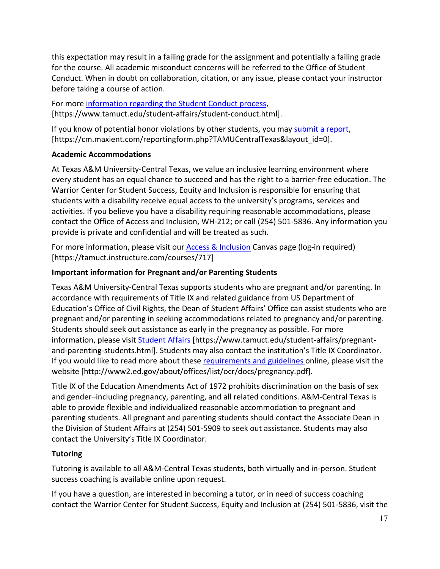this expectation may result in a failing grade for the assignment and potentially a failing grade for the course. All academic misconduct concerns will be referred to the Office of Student Conduct. When in doubt on collaboration, citation, or any issue, please contact your instructor before taking a course of action.

For more [information](https://nam04.safelinks.protection.outlook.com/?url=https%3A%2F%2Fwww.tamuct.edu%2Fstudent-affairs%2Fstudent-conduct.html&data=04%7C01%7Clisa.bunkowski%40tamuct.edu%7Ccfb6e486f24745f53e1a08d910055cb2%7C9eed4e3000f744849ff193ad8005acec%7C0%7C0%7C637558437485252160%7CUnknown%7CTWFpbGZsb3d8eyJWIjoiMC4wLjAwMDAiLCJQIjoiV2luMzIiLCJBTiI6Ik1haWwiLCJXVCI6Mn0%3D%7C1000&sdata=yjftDEVHvLX%2FhM%2FcFU0B99krV1RgEWR%2BJ%2BhvtoR6TYk%3D&reserved=0) regarding the Student Conduct process, [https://www.tamuct.edu/student-affairs/student-conduct.html].

If you know of potential honor violations by other students, you may [submit](https://nam04.safelinks.protection.outlook.com/?url=https%3A%2F%2Fcm.maxient.com%2Freportingform.php%3FTAMUCentralTexas%26layout_id%3D0&data=04%7C01%7Clisa.bunkowski%40tamuct.edu%7Ccfb6e486f24745f53e1a08d910055cb2%7C9eed4e3000f744849ff193ad8005acec%7C0%7C0%7C637558437485262157%7CUnknown%7CTWFpbGZsb3d8eyJWIjoiMC4wLjAwMDAiLCJQIjoiV2luMzIiLCJBTiI6Ik1haWwiLCJXVCI6Mn0%3D%7C1000&sdata=CXGkOa6uPDPX1IMZ87z3aZDq2n91xfHKu4MMS43Ejjk%3D&reserved=0) a report, [https://cm.maxient.com/reportingform.php?TAMUCentralTexas&layout\_id=0].

# **Academic Accommodations**

At Texas A&M University-Central Texas, we value an inclusive learning environment where every student has an equal chance to succeed and has the right to a barrier-free education. The Warrior Center for Student Success, Equity and Inclusion is responsible for ensuring that students with a disability receive equal access to the university's programs, services and activities. If you believe you have a disability requiring reasonable accommodations, please contact the Office of Access and Inclusion, WH-212; or call (254) 501-5836. Any information you provide is private and confidential and will be treated as such.

For more information, please visit our **Access & Inclusion** Canvas page (log-in required) [https://tamuct.instructure.com/courses/717]

# **Important information for Pregnant and/or Parenting Students**

Texas A&M University-Central Texas supports students who are pregnant and/or parenting. In accordance with requirements of Title IX and related guidance from US Department of Education's Office of Civil Rights, the Dean of Student Affairs' Office can assist students who are pregnant and/or parenting in seeking accommodations related to pregnancy and/or parenting. Students should seek out assistance as early in the pregnancy as possible. For more information, please visit [Student Affairs](https://www.tamuct.edu/student-affairs/pregnant-and-parenting-students.html) [https://www.tamuct.edu/student-affairs/pregnantand-parenting-students.html]. Students may also contact the institution's Title IX Coordinator. If you would like to read more about thes[e requirements and guidelines](http://www2.ed.gov/about/offices/list/ocr/docs/pregnancy.pdf) online, please visit the website [http://www2.ed.gov/about/offices/list/ocr/docs/pregnancy.pdf].

Title IX of the Education Amendments Act of 1972 prohibits discrimination on the basis of sex and gender–including pregnancy, parenting, and all related conditions. A&M-Central Texas is able to provide flexible and individualized reasonable accommodation to pregnant and parenting students. All pregnant and parenting students should contact the Associate Dean in the Division of Student Affairs at (254) 501-5909 to seek out assistance. Students may also contact the University's Title IX Coordinator.

# **Tutoring**

Tutoring is available to all A&M-Central Texas students, both virtually and in-person. Student success coaching is available online upon request.

If you have a question, are interested in becoming a tutor, or in need of success coaching contact the Warrior Center for Student Success, Equity and Inclusion at (254) 501-5836, visit the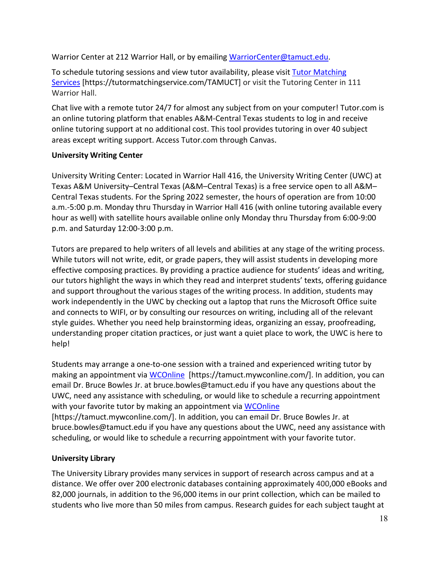Warrior Center at 212 Warrior Hall, or by emailing [WarriorCenter@tamuct.edu.](mailto:WarriorCenter@tamuct.edu)

To schedule tutoring sessions and view tutor availability, please visit Tutor [Matching](https://tutormatchingservice.com/TAMUCT) [Services](https://tutormatchingservice.com/TAMUCT) [https://tutormatchingservice.com/TAMUCT] or visit the Tutoring Center in 111 Warrior Hall.

Chat live with a remote tutor 24/7 for almost any subject from on your computer! Tutor.com is an online tutoring platform that enables A&M-Central Texas students to log in and receive online tutoring support at no additional cost. This tool provides tutoring in over 40 subject areas except writing support. Access Tutor.com through Canvas.

# **University Writing Center**

University Writing Center: Located in Warrior Hall 416, the University Writing Center (UWC) at Texas A&M University–Central Texas (A&M–Central Texas) is a free service open to all A&M– Central Texas students. For the Spring 2022 semester, the hours of operation are from 10:00 a.m.-5:00 p.m. Monday thru Thursday in Warrior Hall 416 (with online tutoring available every hour as well) with satellite hours available online only Monday thru Thursday from 6:00-9:00 p.m. and Saturday 12:00-3:00 p.m.

Tutors are prepared to help writers of all levels and abilities at any stage of the writing process. While tutors will not write, edit, or grade papers, they will assist students in developing more effective composing practices. By providing a practice audience for students' ideas and writing, our tutors highlight the ways in which they read and interpret students' texts, offering guidance and support throughout the various stages of the writing process. In addition, students may work independently in the UWC by checking out a laptop that runs the Microsoft Office suite and connects to WIFI, or by consulting our resources on writing, including all of the relevant style guides. Whether you need help brainstorming ideas, organizing an essay, proofreading, understanding proper citation practices, or just want a quiet place to work, the UWC is here to help!

Students may arrange a one-to-one session with a trained and experienced writing tutor by making an appointment via [WCOnline](https://tamuct.mywconline.com/) [https://tamuct.mywconline.com/]. In addition, you can email Dr. Bruce Bowles Jr. at bruce.bowles@tamuct.edu if you have any questions about the UWC, need any assistance with scheduling, or would like to schedule a recurring appointment with your favorite tutor by making an appointment via [WCOnline](https://tamuct.mywconline.com/) [https://tamuct.mywconline.com/]. In addition, you can email Dr. Bruce Bowles Jr. at bruce.bowles@tamuct.edu if you have any questions about the UWC, need any assistance with

scheduling, or would like to schedule a recurring appointment with your favorite tutor.

# **University Library**

The University Library provides many services in support of research across campus and at a distance. We offer over 200 electronic databases containing approximately 400,000 eBooks and 82,000 journals, in addition to the 96,000 items in our print collection, which can be mailed to students who live more than 50 miles from campus. Research guides for each subject taught at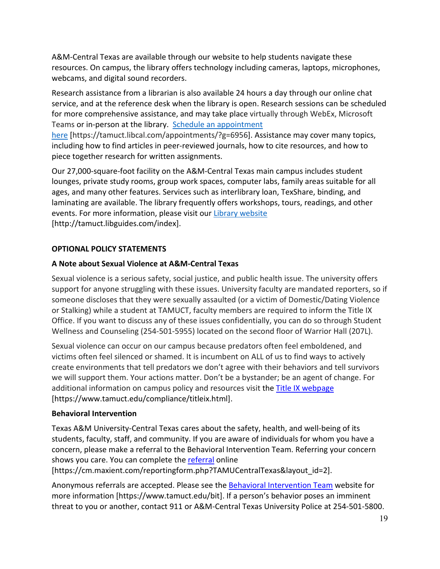A&M-Central Texas are available through our website to help students navigate these resources. On campus, the library offers technology including cameras, laptops, microphones, webcams, and digital sound recorders.

Research assistance from a librarian is also available 24 hours a day through our online chat service, and at the reference desk when the library is open. Research sessions can be scheduled for more comprehensive assistance, and may take place virtually through WebEx, Microsoft Teams or in-person at the library. Schedule an [appointment](https://nam04.safelinks.protection.outlook.com/?url=https%3A%2F%2Ftamuct.libcal.com%2Fappointments%2F%3Fg%3D6956&data=04%7C01%7Clisa.bunkowski%40tamuct.edu%7Cde2c07d9f5804f09518008d9ab7ba6ff%7C9eed4e3000f744849ff193ad8005acec%7C0%7C0%7C637729369835011558%7CUnknown%7CTWFpbGZsb3d8eyJWIjoiMC4wLjAwMDAiLCJQIjoiV2luMzIiLCJBTiI6Ik1haWwiLCJXVCI6Mn0%3D%7C3000&sdata=KhtjgRSAw9aq%2FoBsB6wyu8b7PSuGN5EGPypzr3Ty2No%3D&reserved=0)

[here](https://nam04.safelinks.protection.outlook.com/?url=https%3A%2F%2Ftamuct.libcal.com%2Fappointments%2F%3Fg%3D6956&data=04%7C01%7Clisa.bunkowski%40tamuct.edu%7Cde2c07d9f5804f09518008d9ab7ba6ff%7C9eed4e3000f744849ff193ad8005acec%7C0%7C0%7C637729369835011558%7CUnknown%7CTWFpbGZsb3d8eyJWIjoiMC4wLjAwMDAiLCJQIjoiV2luMzIiLCJBTiI6Ik1haWwiLCJXVCI6Mn0%3D%7C3000&sdata=KhtjgRSAw9aq%2FoBsB6wyu8b7PSuGN5EGPypzr3Ty2No%3D&reserved=0) [https://tamuct.libcal.com/appointments/?g=6956]. Assistance may cover many topics, including how to find articles in peer-reviewed journals, how to cite resources, and how to piece together research for written assignments.

Our 27,000-square-foot facility on the A&M-Central Texas main campus includes student lounges, private study rooms, group work spaces, computer labs, family areas suitable for all ages, and many other features. Services such as interlibrary loan, TexShare, binding, and laminating are available. The library frequently offers workshops, tours, readings, and other events. For more information, please visit our Library [website](https://nam04.safelinks.protection.outlook.com/?url=https%3A%2F%2Ftamuct.libguides.com%2Findex&data=04%7C01%7Clisa.bunkowski%40tamuct.edu%7C7d8489e8839a4915335f08d916f067f2%7C9eed4e3000f744849ff193ad8005acec%7C0%7C0%7C637566044056484222%7CUnknown%7CTWFpbGZsb3d8eyJWIjoiMC4wLjAwMDAiLCJQIjoiV2luMzIiLCJBTiI6Ik1haWwiLCJXVCI6Mn0%3D%7C1000&sdata=2R755V6rcIyedGrd4Os5rkgn1PvhHKU3kUV1vBKiHFo%3D&reserved=0) [http://tamuct.libguides.com/index].

# **OPTIONAL POLICY STATEMENTS**

# **A Note about Sexual Violence at A&M-Central Texas**

Sexual violence is a serious safety, social justice, and public health issue. The university offers support for anyone struggling with these issues. University faculty are mandated reporters, so if someone discloses that they were sexually assaulted (or a victim of Domestic/Dating Violence or Stalking) while a student at TAMUCT, faculty members are required to inform the Title IX Office. If you want to discuss any of these issues confidentially, you can do so through Student Wellness and Counseling (254-501-5955) located on the second floor of Warrior Hall (207L).

Sexual violence can occur on our campus because predators often feel emboldened, and victims often feel silenced or shamed. It is incumbent on ALL of us to find ways to actively create environments that tell predators we don't agree with their behaviors and tell survivors we will support them. Your actions matter. Don't be a bystander; be an agent of change. For additional information on campus policy and resources visit the [Title IX webpage](https://www.tamuct.edu/compliance/titleix.html) [\[https://www.tamuct.edu/compliance/titleix.html\]](https://www.tamuct.edu/compliance/titleix.html).

## **Behavioral Intervention**

Texas A&M University-Central Texas cares about the safety, health, and well-being of its students, faculty, staff, and community. If you are aware of individuals for whom you have a concern, please make a referral to the Behavioral Intervention Team. Referring your concern shows you care. You can complete the [referral](https://cm.maxient.com/reportingform.php?TAMUCentralTexas&layout_id=2) online

[https://cm.maxient.com/reportingform.php?TAMUCentralTexas&layout\_id=2].

Anonymous referrals are accepted. Please see the [Behavioral Intervention Team](https://www.tamuct.edu/bit) website for more information [https://www.tamuct.edu/bit]. If a person's behavior poses an imminent threat to you or another, contact 911 or A&M-Central Texas University Police at 254-501-5800.